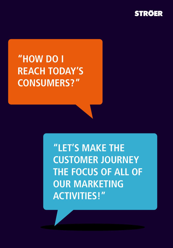

# **"HOW DO I REACH TODAY'S CONSUMERS?"**

**"LET'S MAKE THE CUSTOMER JOURNEY THE FOCUS OF ALL OF OUR MARKETING ACTIVITIES!"**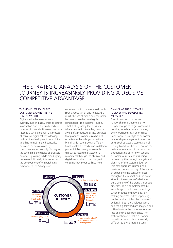### THE STRATEGIC ANALYSIS OF THE CUSTOMER JOURNEY IS INCREASINGLY PROVIDING A DECISIVE COMPETITIVE ADVANTAGE.

#### THE HIGHLY PERSONALIZED CUSTOMER JOURNEY IN THE DIGITAL WORLD

Digital media shape consumers' everyday lives and allow them to source information across a virtually endless number of channels. However, we have reached a turning point in this process of pervasive digitalisation: following on from the development from offline to online to mobile, the boundaries between the devices used by consumers are increasingly blurring. At the same time, the choice of products on offer is growing, while brand loyalty decreases. Ultimately, this has led to the development of the purchasing behaviour of the "always-on"

consumer, which has more to do with spontaneous stimuli and needs. As a result, the use of media and consumer behaviour have become highly personalised. The customer journey – that is, the journey that consumers take from the first time they become aware of a product until they purchase that product – comprises a chain of experiences that a buyer has with a brand, which take place at different times in different media and in different places. It is becoming increasingly difficult to record the customer's movements through the physical and digital worlds due to the changes in consumer behaviour outlined here.



#### ANALYSING THE CUSTOMER JOURNEY AND DEVELOPING MEASURES

The stiff model of customer relationship management is no longer enough to target consumers like this, for whom every channel, every touchpoint can be of crucial importance. It is a style of customer relationship management based on an unsophisticated accumulation of loosely linked touchpoints, not on the holistic observation of the customer throughout his or her own specific customer journey, and it is being replaced by the strategic analysis and planning of the customer journey. This new approach is based on a profound understanding of the stages of experience the consumer goes through in the market and the point at which the consumer's desire to purchase one of the brand's products emerges. This is complemented by knowledge of which customer buys which product and how decisionmaking processes differ depending on the product. All of the customer's actions in both the analogue world and the digital world are analysed and utilised to turn the customer journey into an individual experience. The static relationship that a customer has with a brand is fundamentally different to these more personal,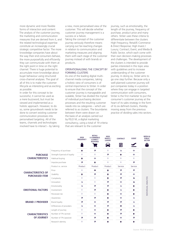more dynamic and more flexible forms of interaction and content. The analysis of the customer journey, the marketing and communication measures that are derived from it, and the related technological expertise constitute an increasingly crucial strategic competitive factor. The more knowledge companies have about the way their end consumers behave, the more purposefully and efficiently they can communicate with them at the right point in time on the right channel. There is huge potential to accumulate more knowledge about buyer behaviour using structured cross-channel analyses. The goal of all of this is to make the customer lifecycle as interesting and as exciting as possible.

In order for this concept to be successful, it cannot be used as a mere buzzword, but must be viewed and implemented as a holistic approach. However, to do so, some groundwork needs to be done to convert existing customer communication processes into personalised targeting. All of the teams, channels and technologies involved have to interact – by taking a new, more personalised view of the customer. This will decide whether customer journey management is a success or a failure. Taking the concept of the customer journey seriously therefore means carrying out far-reaching changes in relation to communication and marketing measures and aligning them with each stage of the customer journey instead of with brands or products.

#### OPERATIONALISING THE CONCEPT BY FORMING CLUSTERS

As one of the leading digital multichannel media companies, taking a holistic view of consumers is of central importance to Ströer. In order to ensure that the concept of the customer journey is manageable and scalable, Ströer has divided the myriad of individual purchasing decision processes and the resulting customer needs into six categories – which are referred to as clusters. The boundaries between them were drawn on the basis of an analysis carried out by FELD M, a digital marketing consultancy, using a total of 19 criteria that are relevant to the customer

journey, such as emotionality, the length of the journey, frequency of purchase, product price and many others. Ströer uses these criteria to differentiate between the clusters High Frequency; Retail/E-Commerce & Direct Response; High Invest / Luxury; Contract; Event; and Media & Public Sector, which each come with their own decision-making processes and challenges. The development of the clusters is intended to provide parties interested in this topic area with guidelines and to increase understanding of the customer journey. In doing so, Ströer aims to go one step further. Because only a well-planned customer journey will put companies today in a position where they can engage in targeted communication with consumers, Ströer is the first marketer to put the consumer's customer journey at the heart of its sales strategy in the form of its six defined clusters, thereby moving away from the previous practice of dividing sales into sectors.

|                                                    |                               | <b>HIGH</b><br><b>FREQUENCY</b> | <b>RETAIL/</b><br><b>E-COMMERCE</b><br><b>&amp; DIRECT</b><br><b>RESPONSE</b> | <b>HIGH</b><br><b>INVEST/</b><br><b>LUXURY</b> | <b>CONTRACT</b>          | <b>EVENT</b>  | <b>MEDIA &amp;</b><br><b>PUBLIC</b><br><b>SECTOR</b> |
|----------------------------------------------------|-------------------------------|---------------------------------|-------------------------------------------------------------------------------|------------------------------------------------|--------------------------|---------------|------------------------------------------------------|
|                                                    |                               |                                 | ಹ                                                                             |                                                | 目                        |               | iĥ                                                   |
| <b>PURCHASE</b><br><b>CHARACTERISTICS</b>          | Frequency of purchase         | 个                               | $\overline{\mathbf{z}}$                                                       | v                                              | $\overline{\phantom{a}}$ | $\rightarrow$ |                                                      |
|                                                    | Strength // period of loyalty | v                               | $\mathbf{U}$                                                                  | $\overline{\phantom{a}}$                       | 个                        | $\rightarrow$ |                                                      |
|                                                    | Habitual buying               | 个                               | →                                                                             | J                                              | v                        | J             |                                                      |
|                                                    | Impulse purchase              | 71                              | 个                                                                             | J                                              | Ψ                        | 71            |                                                      |
| <b>CHARACTERISTICS OF</b><br><b>PURCHASED ITEM</b> | Product vs. service           | Product                         | Product                                                                       | Product                                        | Service                  | Service       |                                                      |
|                                                    | Price                         | Ψ                               | $\rightarrow$                                                                 | ተ                                              | $\overline{\mathbf{z}}$  | Я             |                                                      |
|                                                    | Usability                     | 个                               | Я                                                                             | 个                                              | $\overline{\mathbf{z}}$  | $\rightarrow$ |                                                      |
|                                                    | Complexity                    | J                               | $\mathbf{U}$                                                                  | 个                                              | $\overline{\mathbf{z}}$  | ¥             |                                                      |
|                                                    | Innovation                    | N                               | v                                                                             | Я                                              | →                        | ¥             | <b>INDIVIDUAL ANALYSIS</b>                           |
| <b>EMOTIONAL FACTORS</b>                           | Emotionality                  | N                               | Я                                                                             | 71                                             | N                        | ᠰ             |                                                      |
|                                                    | Involvement                   | Ψ                               | Я                                                                             | 个                                              | N                        | ᠰ             |                                                      |
|                                                    | Perceived risk                | v                               | $\mathbf{U}$                                                                  | 个                                              | $\rightarrow$            | ᠰ             |                                                      |
| <b>BRAND // PROVIDER</b>                           | Awareness                     | Я                               | $\overline{\mathbf{z}}$                                                       | 个                                              | →                        | N             |                                                      |
|                                                    | <b>Brand loyalty</b>          | 71                              | →                                                                             | 71                                             | $\overline{\mathbf{z}}$  | N             |                                                      |
|                                                    | Differences of providers      | N                               | →                                                                             | Я                                              | $\rightarrow$            | ¥             |                                                      |
| <b>CHARACTERISTICS</b><br><b>OF JOURNEY</b>        | Length of journey             | v                               | →                                                                             | ተ                                              | $\overline{\phantom{a}}$ | ᠰ             |                                                      |
|                                                    | Number of TPs (active)        | Ψ                               | →                                                                             | 个                                              | $\overline{\mathbf{z}}$  | ተ             |                                                      |
|                                                    | Number of TPs (passive)       | Я                               | $\overline{\mathbf{z}}$                                                       | ተ                                              | →                        | 71            |                                                      |
|                                                    | Research identity             | J                               | Я                                                                             | ተ                                              | ሳ                        | ́↑            |                                                      |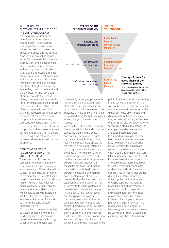#### INTERACTING WITH THE CUSTOMER AT EVERY STAGE OF THE CUSTOMER JOURNEY

Most customer journeys can be reduced to three essential stages: Phase 1 is the latency and preparatory phase; phase 2 is the information and selection phase; and phase 3 is the contract conclusion and purchasing phase. In the first phase of the customer journey, consumers absorb initial product or brand information, without any intention of making a purchase, and develop implicit preferences. Traditional media play an important role in this process: they steer consumers in the right direction, strengthen the mental image they have of the brand and are the basis for the formation of preferences. In the second phase, consumers actively search for information about the product that captivated their interest in phase 1, preferably on online channels. Targeted content becomes the centre of their attention in this phase. Internet searches, comparison websites and native advertising play a crucial role in the last phase, as does personal advice at the point of sale. Shortly before the purchase, the relevant set is narrowed down to a small number of options.

#### OPERATING DIFFERENT TOUCHPOINTS USING THE STRÖER PLATFORM

There are currently no other companies that operate as many touchpoints with end consumers across so many different channels as Ströer – be it online, out-of-home advertising, the "outernet" (digital out-of-home advertising) or dialogue marketing. As a multi-channel media company, Ströer is able to synchronise these offerings and will be able to provide integrated solutions for different customer journeys in the future. Solid, valid data form the basis of every targeting system. On the basis of our own extensive database, combined with select third-party data and predictive behavioural targeting technology, Ströer analyses and generates



high-quality target group segments. Alongside standardised segments, Ströer also offers industry-specific typologies – which are referred to as "personas". These personas can then be targeted using the right messages at every stage of the customer journey.

With the help of Ströer's diversified product portfolio, the end consumer can be reached in every phase and every cluster using the right message at the right time. In the latency and preparatory phase, the main focus is on strong, attentiongrabbing communication with a broad reach (for example, city light posters, mega-light posters and public videos as well as large-format advertising at train stations). In the digital portfolio, this function is carried out with fixed one-day advertising (desktop and mobile) and the integration of moving images. During the information and selection phase, the consumer must be met with the right content and provided with relevant information. In the public arena, event spaces and sampling/couponing are particularly well suited to this task, whereas editorial integration and content-based advertising like native advertising are particularly suitable online, as are WOM and influencer marketing. In the contract conclusion and purchasing phase, the focus is on advertising media right before the

point of sale. Also worth mentioning in this context are posters on the way to the point of sale and adaptive customer networks outdoors. In the digital portfolio, CpX models and dynamic retargeting play a major role, as does geofencing at the point of sale. Ströer also continues to offer services in dialogue marketing, for example, telesales, telemarketing and sales-based field work. It is important to realise that the last contact before the purchase is by no means the only decisive factor. In particular, advertising contacts at the beginning of the chain create a foundation that will later be translated into direct effect. For advertisers, it is no longer about affordable gross reach, but about the advertising impact and data analyses that will help them to optimally reach their target groups during the customer journey. Giving up the traditional model of classic customer relationship management and the associated, convenient world of separate individual measures in the fields of communication and marketing in favour of a complex customer journey management system that is demanding both in terms of technology and human resources is no easy matter. Ströer accepts this challenge together with advertisers.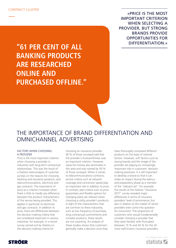»PRICE IS THE MOST IMPORTANT CRITERION WHEN SELECTING A PROVIDER, BUT STRONG BRANDS PROVIDE OPPORTUNITIES FOR DIFFERENTIATION.«

**"61 PER CENT OF ALL BANKING PRODUCTS ARE RESEARCHED ONLINE AND PURCHASED OFFLINE."**

## THE IMPORTANCE OF BRAND DIFFERENTIATION AND OMNICHANNEL ADVERTISING

#### FACTORS WHEN CHOOSING A PROVIDER

Price is the most important criterion when choosing a provider in industries with long-term contractual relationships. This was the result of a Statista meta-analysis of customer surveys on the reasons for choosing banking and insurance products, and telecommunications, electricity and gas contracts. The importance of price as a criterion increases when there is little to hardly any difference between the product characteristics of the service being provided. This applies in particular to electricity and gas contracts. In addition to price, there are differences between the decision-making criteria that are considered important in various industries: for example, in a recent survey carried out by Statista on the decision-making criteria for

choosing an insurance provider, 38 % of those surveyed said that the provider's trustworthiness was an important criterion. However, value-for-money also dominates in this area and was named by 59 % of those surveyed. When it comes to telecommunications contracts, service criteria such as network coverage and connection speed play an important role in addition to price. In contrast, plan criteria such as price guarantees and flexible options for changing plans are relevant when choosing a utility provider's products. In light of the characteristics that are common to these industries, such as low frequency of purchase, long contractual commitments and complex products, these results are not surprising. An analysis of these studies shows that customers generally make a decision once they

have thoroughly compared different products on the basis of rational factors. However, soft factors such as strong brands and the image of the provider are playing an increasingly important role in customers' decisionmaking processes. It is still important to develop a brand so that it can make an impact during the latency and preparatory phase as a member of the "relevant set". For example, the results of the Statista "Insurance 2017" survey revealed major differences in terms of insurance providers' level of prominence, but also in relation to the matter of which providers even come into question for consumers. The proportion of customers who would fundamentally consider choosing a provider that they were familiar with fluctuated between 15 % and 43 % for the 20 most well-known insurance providers.

> In collaboration with statista **Z**

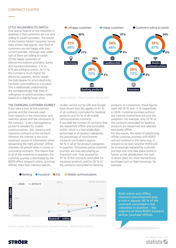#### LITTLE WILLINGNESS TO SWITCH

One special feature of the industries in question is that customers are not very willing to switch providers. The results of the Statista Global Consumer Survey have shown that approx. one third of customers are not happy with their current provider, although well under half of them are willing to switch. Of the happy customers of telecommunications providers, banks and insurance providers, 3 % to 6 % are willing to switch. At 11 %, this number is much higher for electricity suppliers, which reveals the high degree to which electricity has been commodified as a product. This is additionally underlined by the correspondingly high level of willingness to switch providers solely based on a slightly lower price.

#### THE CHANGING CUSTOMER JOURNEY

If you take a look at the customer journey and the channels used – from research in the information and selection phase until the conclusion of the contract – a very homogeneous picture is revealed for mobile communications, DSL, banking and insurance contracts at the moment: Whereas the internet is the most important source of information when researching the right provider, offline channels still prevail when it comes to concluding contracts. This means that, in all of the industries in question, the customer journey is dominated by the ROPO effect (research online, purchase offline). Data from industry-specific



Source: Statista – Global Consumer Survey, 2017

studies carried out by GfK and Google have shown that this applies to 61 % of all contracts concluded for banking products and 53 % of all mobile communications contracts. If you add the number of contracts that are researched offline and concluded online, which is a low single-digit percentage in all product categories, the percentage of omnichannel contracts concluded is approx. 60 % in all of the product categories in question. Exclusively online customer journeys are now also playing an important role. They account for 25 % of the contracts concluded for insurance products and for 29 % of the contracts concluded for banking

products. In comparison, these figures were still 10 % and 11 % respectively in 2009. Customer journeys without any internet involvement are now the exception. For example, only 10 % of the contracts concluded for banking products are researched and selected exclusively offline.

For this reason, the trend of substituting offline customer journeys with ROPO will not continue in the same way. It remains to be seen whether ROPO will be increasingly replaced by customer journeys that only take place online in future, as has already been the case in recent years for more transactional purchases such as flight bookings, for example.



Both online and offline channels (omnichannel) play a role in approx. 60 % of the contracts concluded in the industries in question – the majority of them ROPO (research online, purchase offline).

> In collaboration with statista **Z**